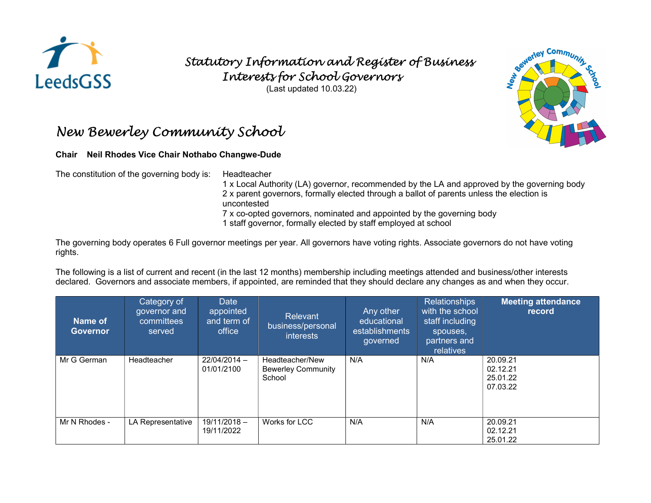

## Statutory Information and Register of Business Interests for School Governors

(Last updated 10.03.22)

## New Bewerley Community School

## Chair Neil Rhodes Vice Chair Nothabo Changwe-Dude

The constitution of the governing body is: Headteacher

1 x Local Authority (LA) governor, recommended by the LA and approved by the governing body 2 x parent governors, formally elected through a ballot of parents unless the election is uncontested

7 x co-opted governors, nominated and appointed by the governing body

1 staff governor, formally elected by staff employed at school

The governing body operates 6 Full governor meetings per year. All governors have voting rights. Associate governors do not have voting rights.

The following is a list of current and recent (in the last 12 months) membership including meetings attended and business/other interests declared. Governors and associate members, if appointed, are reminded that they should declare any changes as and when they occur.

| Name of<br><b>Governor</b> | Category of<br>governor and<br>committees<br>served | Date<br>appointed<br>and term of<br>office | <b>Relevant</b><br>business/personal<br>interests      | Any other<br>educational<br>establishments<br>governed | <b>Relationships</b><br>with the school<br>staff including<br>spouses,<br>partners and<br>relatives | <b>Meeting attendance</b><br>record          |
|----------------------------|-----------------------------------------------------|--------------------------------------------|--------------------------------------------------------|--------------------------------------------------------|-----------------------------------------------------------------------------------------------------|----------------------------------------------|
| Mr G German                | Headteacher                                         | 22/04/2014 -<br>01/01/2100                 | Headteacher/New<br><b>Bewerley Community</b><br>School | N/A                                                    | N/A                                                                                                 | 20.09.21<br>02.12.21<br>25.01.22<br>07.03.22 |
| Mr N Rhodes -              | LA Representative                                   | $19/11/2018 -$<br>19/11/2022               | Works for LCC                                          | N/A                                                    | N/A                                                                                                 | 20.09.21<br>02.12.21<br>25.01.22             |

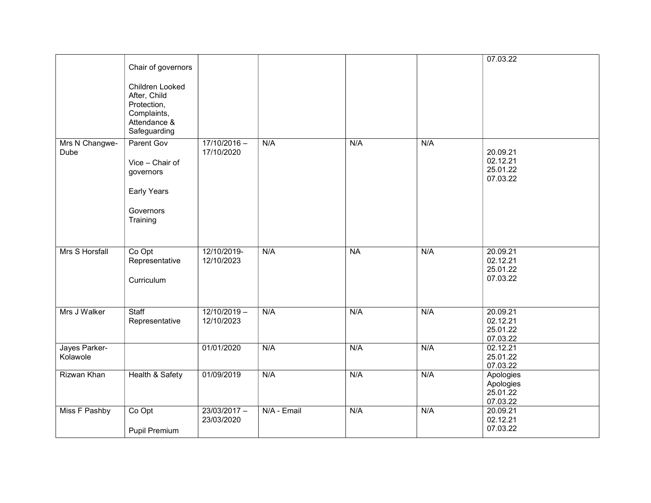|                           | Chair of governors<br>Children Looked<br>After, Child<br>Protection,<br>Complaints,<br>Attendance &<br>Safeguarding |                              |             |           |     | 07.03.22                                       |
|---------------------------|---------------------------------------------------------------------------------------------------------------------|------------------------------|-------------|-----------|-----|------------------------------------------------|
| Mrs N Changwe-<br>Dube    | Parent Gov<br>Vice - Chair of<br>governors<br>Early Years<br>Governors<br>Training                                  | $17/10/2016 -$<br>17/10/2020 | N/A         | N/A       | N/A | 20.09.21<br>02.12.21<br>25.01.22<br>07.03.22   |
| Mrs S Horsfall            | Co Opt<br>Representative<br>Curriculum                                                                              | 12/10/2019-<br>12/10/2023    | N/A         | <b>NA</b> | N/A | 20.09.21<br>02.12.21<br>25.01.22<br>07.03.22   |
| Mrs J Walker              | Staff<br>Representative                                                                                             | $12/10/2019 -$<br>12/10/2023 | N/A         | N/A       | N/A | 20.09.21<br>02.12.21<br>25.01.22<br>07.03.22   |
| Jayes Parker-<br>Kolawole |                                                                                                                     | 01/01/2020                   | N/A         | N/A       | N/A | 02.12.21<br>25.01.22<br>07.03.22               |
| Rizwan Khan               | <b>Health &amp; Safety</b>                                                                                          | 01/09/2019                   | N/A         | N/A       | N/A | Apologies<br>Apologies<br>25.01.22<br>07.03.22 |
| Miss F Pashby             | Co Opt<br>Pupil Premium                                                                                             | $23/03/2017 -$<br>23/03/2020 | N/A - Email | N/A       | N/A | 20.09.21<br>02.12.21<br>07.03.22               |